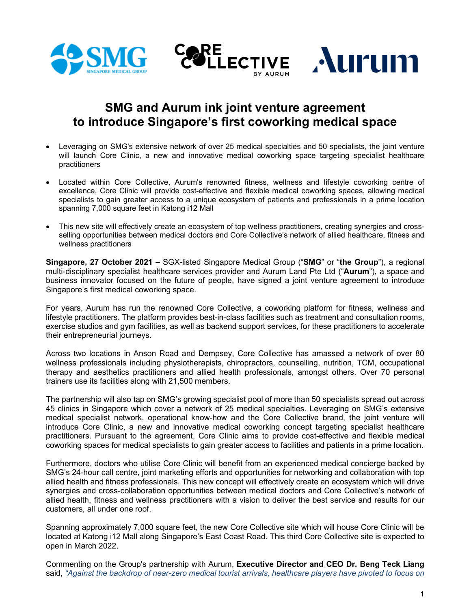

# **SMG and Aurum ink joint venture agreement to introduce Singapore's first coworking medical space**

- Leveraging on SMG's extensive network of over 25 medical specialties and 50 specialists, the joint venture will launch Core Clinic, a new and innovative medical coworking space targeting specialist healthcare practitioners
- Located within Core Collective, Aurum's renowned fitness, wellness and lifestyle coworking centre of excellence, Core Clinic will provide cost-effective and flexible medical coworking spaces, allowing medical specialists to gain greater access to a unique ecosystem of patients and professionals in a prime location spanning 7,000 square feet in Katong i12 Mall
- This new site will effectively create an ecosystem of top wellness practitioners, creating synergies and crossselling opportunities between medical doctors and Core Collective's network of allied healthcare, fitness and wellness practitioners

**Singapore, 27 October 2021 –** SGX-listed Singapore Medical Group ("**SMG**" or "**the Group**"), a regional multi-disciplinary specialist healthcare services provider and Aurum Land Pte Ltd ("**Aurum**"), a space and business innovator focused on the future of people, have signed a joint venture agreement to introduce Singapore's first medical coworking space.

For years, Aurum has run the renowned Core Collective, a coworking platform for fitness, wellness and lifestyle practitioners. The platform provides best-in-class facilities such as treatment and consultation rooms, exercise studios and gym facilities, as well as backend support services, for these practitioners to accelerate their entrepreneurial journeys.

Across two locations in Anson Road and Dempsey, Core Collective has amassed a network of over 80 wellness professionals including physiotherapists, chiropractors, counselling, nutrition, TCM, occupational therapy and aesthetics practitioners and allied health professionals, amongst others. Over 70 personal trainers use its facilities along with 21,500 members.

The partnership will also tap on SMG's growing specialist pool of more than 50 specialists spread out across 45 clinics in Singapore which cover a network of 25 medical specialties. Leveraging on SMG's extensive medical specialist network, operational know-how and the Core Collective brand, the joint venture will introduce Core Clinic, a new and innovative medical coworking concept targeting specialist healthcare practitioners. Pursuant to the agreement, Core Clinic aims to provide cost-effective and flexible medical coworking spaces for medical specialists to gain greater access to facilities and patients in a prime location.

Furthermore, doctors who utilise Core Clinic will benefit from an experienced medical concierge backed by SMG's 24-hour call centre, joint marketing efforts and opportunities for networking and collaboration with top allied health and fitness professionals. This new concept will effectively create an ecosystem which will drive synergies and cross-collaboration opportunities between medical doctors and Core Collective's network of allied health, fitness and wellness practitioners with a vision to deliver the best service and results for our customers, all under one roof.

Spanning approximately 7,000 square feet, the new Core Collective site which will house Core Clinic will be located at Katong i12 Mall along Singapore's East Coast Road. This third Core Collective site is expected to open in March 2022.

Commenting on the Group's partnership with Aurum, **Executive Director and CEO Dr. Beng Teck Liang** said, *"Against the backdrop of near-zero medical tourist arrivals, healthcare players have pivoted to focus on*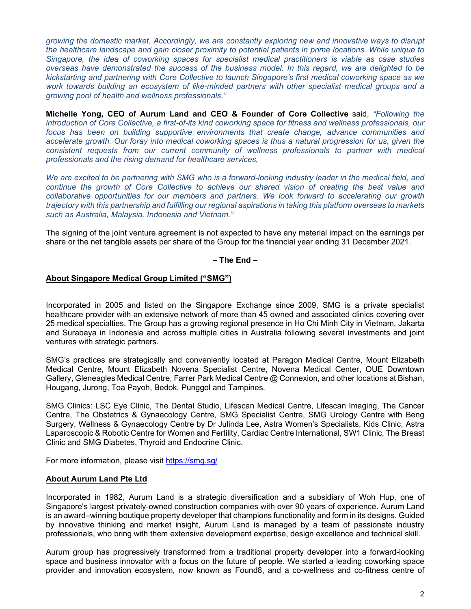*growing the domestic market. Accordingly, we are constantly exploring new and innovative ways to disrupt the healthcare landscape and gain closer proximity to potential patients in prime locations. While unique to Singapore, the idea of coworking spaces for specialist medical practitioners is viable as case studies overseas have demonstrated the success of the business model. In this regard, we are delighted to be kickstarting and partnering with Core Collective to launch Singapore's first medical coworking space as we work towards building an ecosystem of like-minded partners with other specialist medical groups and a growing pool of health and wellness professionals."* 

**Michelle Yong, CEO of Aurum Land and CEO & Founder of Core Collective** said, *"Following the introduction of Core Collective, a first-of-its kind coworking space for fitness and wellness professionals, our focus has been on building supportive environments that create change, advance communities and accelerate growth. Our foray into medical coworking spaces is thus a natural progression for us, given the consistent requests from our current community of wellness professionals to partner with medical professionals and the rising demand for healthcare services,* 

*We are excited to be partnering with SMG who is a forward-looking industry leader in the medical field, and continue the growth of Core Collective to achieve our shared vision of creating the best value and collaborative opportunities for our members and partners. We look forward to accelerating our growth trajectory with this partnership and fulfilling our regional aspirations in taking this platform overseas to markets such as Australia, Malaysia, Indonesia and Vietnam."* 

The signing of the joint venture agreement is not expected to have any material impact on the earnings per share or the net tangible assets per share of the Group for the financial year ending 31 December 2021.

### **– The End –**

## **About Singapore Medical Group Limited ("SMG")**

Incorporated in 2005 and listed on the Singapore Exchange since 2009, SMG is a private specialist healthcare provider with an extensive network of more than 45 owned and associated clinics covering over 25 medical specialties. The Group has a growing regional presence in Ho Chi Minh City in Vietnam, Jakarta and Surabaya in Indonesia and across multiple cities in Australia following several investments and joint ventures with strategic partners.

SMG's practices are strategically and conveniently located at Paragon Medical Centre, Mount Elizabeth Medical Centre, Mount Elizabeth Novena Specialist Centre, Novena Medical Center, OUE Downtown Gallery, Gleneagles Medical Centre, Farrer Park Medical Centre @ Connexion, and other locations at Bishan, Hougang, Jurong, Toa Payoh, Bedok, Punggol and Tampines.

SMG Clinics: LSC Eye Clinic, The Dental Studio, Lifescan Medical Centre, Lifescan Imaging, The Cancer Centre, The Obstetrics & Gynaecology Centre, SMG Specialist Centre, SMG Urology Centre with Beng Surgery, Wellness & Gynaecology Centre by Dr Julinda Lee, Astra Women's Specialists, Kids Clinic, Astra Laparoscopic & Robotic Centre for Women and Fertility, Cardiac Centre International, SW1 Clinic, The Breast Clinic and SMG Diabetes, Thyroid and Endocrine Clinic.

For more information, please visit https://smg.sg/

### **About Aurum Land Pte Ltd**

Incorporated in 1982, Aurum Land is a strategic diversification and a subsidiary of Woh Hup, one of Singapore's largest privately-owned construction companies with over 90 years of experience. Aurum Land is an award–winning boutique property developer that champions functionality and form in its designs. Guided by innovative thinking and market insight, Aurum Land is managed by a team of passionate industry professionals, who bring with them extensive development expertise, design excellence and technical skill.

Aurum group has progressively transformed from a traditional property developer into a forward-looking space and business innovator with a focus on the future of people. We started a leading coworking space provider and innovation ecosystem, now known as Found8, and a co-wellness and co-fitness centre of